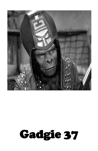

# Gadgie 37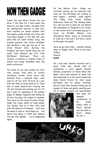# **NOW THEN GADGIE**

Praise the Law Giver! Praise the Law Giver I tell thee for I have some fine news for you dear reader. Straight from my underground sources in Ape City, word reaches our human outpost that the mighty gorilla thrash unit Urko, who terrorised people in the 90s and very early 00s are back! Crikey! Craig, the original guitarist and throat shredder has amassed a new ape line up of Joe (from Patient Zero, Burning the Prospect and more bands than you can count from Boston) and DTL from Wolfbeast Destroyer. There are threats circulating in hushed tones of simian fury being unleashed upon the public once more!

For those of you who missed 'em first time around, Urko were an utterly incendiary thrash three piece who mutated from a Swedish style crust band to all out aural atrocity on a par with the likes of Drop Dead et al. Total wall of noise destruction. Touring the UK and Ireland and putting out six 7"s and a split LP, appearing in the grubby pages of Gadgie regularly and taking me all over the place for nights of mayhem they were on the verge of great things. Sadly the tragic death of bass player Jas Toomer saw to it that Urko died with the General of Fenpunk … until now! No news of gigs or recordings yet … but watch this space in 2019 and, beware the ape that speaks … it's all happening again …

On the Boston front, things are certainly looking up! As reported last time out The Britannia are looking to host regular – monthly – punk capers! The fellas from South Holland Indecency Team and The Undying Swan Act, who you met in issue 36, are behind the resurgence of Fenpunk in our corner of the county and if you wanna gig get in touch via BLAMS (Boston Live Alternative Music Scene on Facebook) or drop me a line and I will have a word as the apes rise again!

Here we go then folks … another bloody issue of Gadgie zine! Three in one year! Crikey! Cheers! **MARV**

On a sad note, Boston recently lost a great fella who should well be considered a local legend. Gareth Skinner, proprietor of Never Mind The Music Store was beloved of many folk who would pop in to his record emporium down Church Street for chat, music purchases and his unique customer service style that involved telling you all manner of tales and gently insulting you. All at Gadgie Towers are heartbroken



and pass our deepest condolences to his lovely family. Rest in Peace Gareth and say hello to David Bowie for me. x

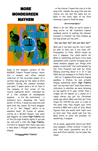### **MORE MONDEGREEN MAYHEM**



Deep in the deepest corners of the GADGIE Towers Thrash Parlour, there sits a modest and often visited collection of the recorded output of a certain chap going by the name of Elvis Costello. During the summer holidays just past, I spent quite a lot of time in the company of this corner of the record cupboards which reminded me of a fine example of mondegreen mayhem … or for the uninitiated … a misheard lyric. Amassing the "early works" of Elvis, I made my selection and went with the classic 20 track whopper of an LP "Get Happy!" which is an absolute blast. 20 tracks of upbeat, catchy as a Wicket Keeper, new wave pop nuggets. Up comes **High Fidelity** one of the LPs high-fidelity-lights if you ask me, and with a title like **High Fidelity**, it's hard to imagine that there was once a time when I thought Costello was not singing …

*"Hiiiiggggghhhh Fidelity"*

… in the chorus. I mean the clue is in the song title. Usually the song title and the chorus are one and the same but no. Back in the early days of my Elvis listening I used to think he sang …

### *"Arrrrrriverderci"*

What a div eh? Why on earth would a song writer of Mr Costello's talents suddenly switch to wishing the listener farewell in Italian? He then follows up his long drawn out line with …

### *"Can you hear me? Can you hear me?"*

Well yes I can hear you Elv, but I won't be able to hear you if you clear off. Presumably to Italy. Which would be nice I suppose. You could watch AC Milan or something and have a nice meal somewhere with a waiter bringing one of those massive pepper pot things with pepper in and stuff. You could wander by the Trevi Fountain and look for Anita Ekberg cavorting about in it. If it was 1960 and you bumped in to Fellini that is … But no, it appears Elvis was not singing goodbye in Italian, he was actually singing something about **High Fidelity** and "*can you hear me?*" must have been a reference to whether we were listening on top quality Hi Fi gear rather than a crappy old tin opener of a stylus on a ropey stereo you got for Christmas yonks ago which Mam and Dad got from Argos for £29.99 one year in a sale at the same time they bought your little brother's BMX and a pile of Star Wars figures that you would both fight over so next year they would just buy two Boba Fetts to solve the problem. Or something. I imagine.

As an aside, apparently David Lee Roth once quipped, rather acidicly it must be said, that music journalists are all in love with Elvis Costello 'cos he looks like them!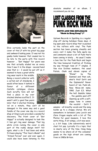

Elvis certainly looks the part on the cover of this LP with his great big gegs and awkward looking pose. It was not his gawky looks however that caused me to be late to the party with this record however … "Get Happy!" for years was one that actually eluded me as every time I saw it in the shops – second hand ones that is – I would be put off as it

seemed to have a great white ring wear mark in the middle. Being a record collector with a certain set of standards, I would often leave it behind in favour of a different Costello catalogue choice. Such scruffy fare will not find a place in my over stacked shelves scoffed I. It wasn't until a good few years later that I started thinking

'od on a minute, they can't all be damaged in the same way and a good fondle of the cover one day in a record shop at King's Lynn provided a wonderful discovery. The front cover of "Get Happy!" is actually designed to look like it has got ring wear damage. That big white circle ruining the cover is only part of the ruddy design innit? Yet again, what a div I had been and while I'd been playing "This Year's Model" and "Armed Forces" over and over again, I could also have been listening to this

absolute smasher of an album. I recommend you do too.

### **LOST CLASSICS FROM THE PUNK ROCK WARS** DOTTI AND THE DIPLOMATS

### "Made in Hong Kong" 7"

Uptown Records in Spalding is a regular stop off during holidays these days. A big open plan record shop that is packed to the rafters with vinyl. The Punk section has been growing steadily and every visit I make the fella spots me and comments about a bit of Punk that's been coming in lately … As usual I make a bee line for the Punk Rock and begin the time honoured tradition of flicking my way through rows of 7" singles. A few nice Dickies numbers, the usual Pistols, Clash and eleven copies of

> "Eloise" by The Damned and then ooh, what's this? Dotti and the Diplomats? Never heard of 'em. Punk-ish, New Wave-ish name. 1980. Just £3. What the hell. Gamble taken … the gamble paid off! Opening up with a soft, poppy tune in comes the vocalist – Dotti I

assume – all breathy vocals and the song builds up to a choppy chorus. We are somewhere in between Lena Lovich and Clare Crogan maybe with a bit of The Photos for good measure. I love this sorta thing. A bit wimpy, a bit new wavey, a bit loopy. Like subversively weird chart hit pop. Lyrically it's a topic that is clearly very of the time. Hong Kong seems to be where all of the consumer goods on the high street are coming from in 1980s Britain.

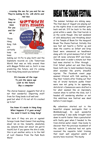*… crossing the sea for you and for me They're making hi-fis, silk shirts and red ties*

*They're busy as bees For you and for me …*

Those Hong Kong folk are certainly busy as bees



making our Hi-Fis to play Dotti and the Diplomats records on. Like Tomorrows World that was on telly around then with Maggie Philbin and co, Dotti is now predicting the future, and it's coming from Hong Kong would you believe?

### *It's become all the rage To join the space age Look to the future Buy a computer*

The chorus however, suggests that all is not that wonderful. Importing stuff from far flung lands is all well and good but what if it's not all it's cracked up to be?

### *You know it's made in Hong Kong What happens if it goes wrong? You send it back to Hong Kong!*

Not sure if they are pro or against foreign trade then! Cannot find anything about 'em on line, honestly, absolutely zip, (anyone know owt about 'em gerrin touch!) but if you ignore the dire b-side, this is yet another entry in to the Hall of Lost Classics From the Punk Rock Wars!

## **BREAK THE CHAINS FESTIVAL**

The summer holidays are ebbing away. The final days of August are playing out as the nights draw in and weather gets back end-ish. It'll be back to the daily grind within a week. One final hurrah is on the cards though. One last weekend of wild debauchery and thrashing about at the Temple of Boom for the inaugural Break The Chains Festival. Initially this new fest set hearts a flutter up and down the country as Infest and Drop Dead were announced as headliners along with US grind maniacs Full of Hell and UK noise veterans ENT and Doom. Tickets went in under a minute but then bad news started to filter through … first Infest pulled out and then Drop Dead, both due to band members having what sounded like pretty dreadful injuries. The Facebook event page seemed littered with folk wanting to flog their tickets after finding out that two of brutal hardcore punks finest were now not going to be appearing. Antichrist x Demoncore were drafted in for what seemed like an impromptu reunion show to soften the blow, but I headed off wondering whether or not this ambitious new festival was dead before it even began …

My adventure started out in the beautiful utopian metropolis that is Middlesbrough. In such wonderful surroundings I was sadly brought back down to earth faster than a parachutist with faulty gear when I headed to the train station water closet. How lovely to discover that the previous incumbent of the cubicle I selected had not quite received the requisite toilet training that most well adjusted adults of society have received. The mucky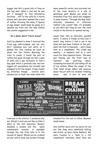bugger had left a great pile of thog on the bog seat. What a bad sod he was eh? I managed to find alternative facilities … Off to the café for a thirty minute wait and what seemed like a pint of coffee. Perusing the menu I figured an egg sanger would keep me going as I awaited my train and the lady behind the counter suggested to me …

### "**In a white shirt? You're brave!**"

You'll be pleased to know I survived the fried egg yolk-ocalypse and my nice shirt remained nice and white as I passed the time reading my book all about the Sex Pistols. Boarding the train to Leeds, I found the pint of coffee had gone through me like a dose of salts and I was fortunate to find a bog upon which a previous user had not logged off everywhere but actually had managed to hit the target. A sign caught my attention though … visitors were advised not to flush the toilet while the some powerful vortex and excreted out of the train lavatory in a pile of gelatinous goo? Maybe you would be wrenched from this world and reappear in some bizarre "Through the Bog Hole" alternate dimension or alternate reality? Like Leeds? Nah, it's probably so you don't get thog all over the train tracks in the station or summat boring …

Leeds then. Not an alternate, parallel world, is where I finally arrived and it wasn't long before I had a can in me hand and was been treated to the godawful din that is Coproach … and I mean that as a compliment. The crowd was healthy – in numbers that is, I can't vouch for their physical state – the beer was flowing and the front man of Coproach was cavorting about, screaming his head off and taking off all of his clothes. When the singer of the first band strips naked and bounces about the pit with his chobber flobbing about … well, it sort of sets the



train was in the station. I wondered why not. Would it suck you out like on Alien 3 when at the end Sigourney Weaver smashed a window and the nasty xenomorphic monster is squidged through the tiny little hole in to the vacuum of space? Would you be crushed as your entire body was sucked through

standard for the rest to follow. Mayhem would ensue …

Chin Sniffer were a bit too weird for me but Ona Snop were absolutely belting and brutal, as were Horse Bastard. We were treated to a "back to a full compliment" Voorhees, after their one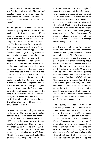man down Bloodstains set, and my word, the full line = full throttle. They melted people's faces with Shaun and Tom resplendent in Damned and Buzzcocks shirts to "show these lot where it all began".

So we get to the headliners of the Friday. Originally slated as two of the world's greatest hardcore bands – if you were to enquire of me who I believed such a title should fall to – Infest and Drop Dead had dropped out to pretty horrific injuries sustained by members from what I heard, and many a "Friday ticket for sale" post did appear on the Facebook event page. Fearing a wash out was totally unfounded as the crowd were by now heaving and a hastily reformed Antichrist Demoncore (or ACXDC) for short had been flown in as a replacement and gadzooks, they were something special. Furious power violence that was so vicious it could peel paint off walls. Noise like you've never heard. At one point during the brutal bedlam I looked at Dan Zero who had turned up with the obligatory can of Stella in hand and we both just laughed at each other. Honestly I wasn't really sure what was happening by now … the confusion continued as Ron treated everyone to some wild dance moves as he Rock n Rolled to Elvis and the likes at the after show party. It was time for bed. I could take no more.

Saturday was not such a big deal for me in terms of the line up so I looked forward to mooching about and catching up with folk. The crowd were very different to the Bloodstains lot from a couple of weeks ago. Then, it was all 40something (or more) folk in jeans and band shirts staying in hotels and showering and shaving and stuff. Break The Chains crowd in contrast looked like an extras van from Game of Thrones had been emptied in to the Temple of Boom for the weekend: beards, dreads, tats, imaginative piercings and the likes everywhere. Wonderful stuff. The crust horde were treated to a number of more metallic performances today until that is Sick Ones took to the stage and belted out a rollicking set of 80s style US hardcore, the front man gurning away in a furious Rollinsian manner. It made a welcome change from all the havoc the tribes of crust and carnage were dishing out. Good set.

Into the charmingly named "Meatlocker" room for Famine as the afternoon turned to evening and my word … Famine were ridiculous. The Meatlocker is a narrow little space and the amount of people packed in there cavorting about and hurling themselves around made it a pretty intense experience where at one point it actually felt unsafe. Unsafe in a sort of shit, this is utter fucking mayhem manner. That, by the way is a compliment. Another ACXDC set and Unyielding Love – who sounded a bit like Full of Hell – preceded erm, Full of Hell who have a front man that seems to personify evil. Grind violence with sounds and samples and all manner of effects that I imagine is what demonic possession sounds like. Not very nice at all. Again, that's a compliment.

The journey to bed provided an interesting episode as I attempted to steady myself against a wall bar as the lift at the hotel took off. For some reason the bar just fell off in my hands. In my "refreshed state" I feared a Frank Spencer-esque moment as I attempted to fix it … I imagined the whole back wall of the lift coming off with the bar and me staring in to the abyss of the lift shaft and trying to fix the wall, not just the bar, falling in the chute and hanging on to the floor of the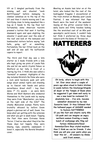lift as I dangled perilously from the missing wall and shouted "oooh Betttttyyyyy!" before managing to clamber somehow on to the top of the lift and then it starts moving and I am terrifying close to being squashed like a bug as it heads to the top floor but fortunately some American tourists pressed a button that sent it hurtling downward again and upon alighting the elevator I would peer over the side of the roof and look at the bemused and bamboozled visitors before saying "ooh hello, going up?" or something. Fortunately the bar fitted back on the wall and all was well. No buffoonish capers to report.

The third and final day was a late starter so I made friends with a lady who kept giving me pints of Leeds Pale Ale and let me watch Crystal Palace vs Watford on her telly in front of a roaring log fire. I think she was called a "barmaid" or summat. Highlights of the day included Bristol's No Pulse who were a rock solid hardcore punk unit with songs about animal rights and standing up to fascist nob heads and police surveillance. Great stuff – buy their demo 7" it's wazzle – as were Gets Worse and Wolf Bastard who endeared themselves to the Leeds mob by saying they were from "Manchester, you know, on the right side of the hills?" The cheeky Mancunian scamps. Plenty more brutality whizzed by before Doom played a glorious set of well, Doom. You know what yer getting with the veterans and what you get is weak beaut. Topping the Fest then were Extreme Noise Terror. I had no idea what they'd be like these days but happily they were blazing. Ugly, unsubtle, unpleasant. I loved it, especially the Borstal Breakout cover.

Meeting an Aussie lass later on at the hotel, who looked like the rest of the bedraggled fraggles I encountered at the train station on Monday post Leeds Festival, I was informed that Papa Roach were the band of the weekend. Seeing all the glitter covered folks in welly boots and filthy hoodies looking like the wretched cast of an 80s post apocalyptic world movie, I couldn't help but think I preferred my three days indoors with the Game of Thrones lot.



**Oh lordy, where to begin with this lot. Ever since about a couple of years ago when stood in Dale's kitchen in Leeds before the Discharge/Stupids all dayer at the Temple of Boom when he suggested I get down well early to see a new band he reckoned I'd absolutely love … I've erm, become somewhat obsessed by my new favourite band. It thus followed that the hallowed pages of GADGIE needed to feature NATTERERS! If you like fast and chaotic early 80s US punk and can imagine an angry northern woman fronting a rowdy bunch of scallywags who fling out furious Adolescents/Dead Kennedys/Zero Boys styled mayhem then I think we can be friends. I also think you will piss your pants when you hear this lot …** *All answers by Emma said front woman…*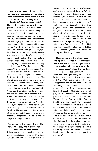**Now then Natterers. I assume like me, you are recovering at the minute from Bloodstains Fest? What did you make of it all? Highlights and Lowlights? Two Natterers sets?**

It's late September now so I think we're just about over it…. I did have a cold for about five weeks afterwards though. To be brutally honest, it really wasn't as good as the year before, in terms of line-up, attendance and atmosphere. Musical highlights for me were the newer bands….. No Problem and Rat Cage in the "Hot Box" (I bet it's the "Cold Box" in winter though!) I enjoyed Battalion of Saints too. I really missed the atmosphere of the Merch room – it was so much better the year before! Where were the record stalls? The amazing vegan food (more than one thing on the menu?!) The hot drinks? The badges?! I lost my Cramps badge from last year and needed to replace it! The new room at Temple of Boom is fantastic though – great sound. We played Saturday as planned and all of us were in attendance on the Sunday (well, Dave was on his way). Someone approached me when I arrived and said, "they might be asking you to play today too as a few bands have dropped out" so I went and asked Lecky if they needed another band to play and he said "no" so I replied, "can we play anyway?" and so we played during the food break with Dave turning up ten minutes before! Totally different set including a couple of songs we hadn't done live before. I probably preferred it to Saturday despite feeling like death!

### **You appear to be fans of bats – the name, the logo, the t-shirts. Where does that all come from?**

I have worked as an ecologist for ten years, specialising in bats. I've been involved with bat conservation for about

twelve years in voluntary, professional and academic roles (I have a MSc in Biodiversity and Conservation and started [didn't finish] a PhD on the effects of linear infrastructure on bats). *Myotis nattereri* (Natterer's bat) was the focal species of my MSc project. Bats are fascinating but maligned creatures and I am pretty obsessed with them – travelled to Austin, TX and Cambodia to see some of the largest known bat roosts in the world! The bat logo was designed by our friend, Ben Eskrett, an artist from Hull who has recently taken up a tattoo apprenticeship (follow his work on Instagram @notlongleftnow).

### **There appears to have been some line-up changes since I last witnessed you in the flesh … how did you recruit the Voorhees rhythm section to the Natterers cause? Have the new line up recorded 'owt yet?**

Dave has been pestering us to be in Natterers since he first heard our demo in 2016! Well, pester is a bit of an exaggeration but he has been waiting in the wings…… We needed a new bass player after Andrew's departure and Rob had caught Thomas's eye whilst playing in Voorhees. We needed to practice closer to where myself and Thomas live in East Yorkshire (so not Leeds) and this meant John (original drummer) couldn't do it anymore and it made sense for both Rob and Dave to join! Plus, Rob doesn't drive so Dave doubles as his personal chauffeur too… The new line up recorded our debut album in June 2018. You can really tell that Rob and Dave have played together for a while. They are both masters of their respective instruments and have definitely made Natterers a better band (no disrespect to previous members!)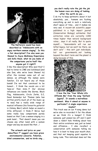

**The Natterers sound has been described as "Adolescents with an angry northern woman singing". Is this a fair description? I've also seen you likened to Joyce McKinney Experience and Sofa Head, what do you make of the comparisons you've had? Has anyone got it right?!** 

I like this description! Who said this? I had to listen to JME and Sofahead (and also Dan, who we've been likened to) after the reviews came out of our demos, as although the names were familiar, I'd not heard any of these bands! I'm not that convinced to be honest…. I think the vocals are a bit twee-er than mine…?! Our obvious influences are bands like Germs, Black Flag, Adolescents, Circle Jerks, D.I, Dead Kennedys but Thomas (who has written pretty much all of the music up to now) has a really wide range of musical influence (his favourite guitarist is Johnny Marr) which helps us sound a little different, I think..?! We've had some really lazy comparisons purely based on that I am a woman singing in a punk band…. That doesn't mean you can choose any other band with a woman singer and say we sound like that….!

**The artwork and lyrics on your demo/flexi 7" suggest you have grave environmental concerns. Pollution, blind consumerism, and no birds sing …** 

### **you don't really rate the job the job the human race are doing of looking after the earth do you …**

I do try to keep optimistic about it but absolutely, yes…. humans are fucking everything up and in such a relatively short space of time…. and it makes me very sad. A recent-ish scientific paper published in a high impact journal (Conservation Biology) estimates that extinction rates are currently 1,000 times higher than natural background rates…. says it all really. But to quote myself….. "descendants will rue our lethal legacy, but we won't be there, we don't care" – this isn't just individuals, but our governments….not looking beyond the short term and the planet is dying because of this.



**I love the line "Your Whole Life Offends Me" from the song "***Defiant (again)***". It sounds a marvellous sentiment. Was it aimed at anyone in particular? A single experience maybe?**

This track was on our 4-song demo but we've also re-recorded it for the album as we think it's a banger! I think someone just pissed me off and I went down a rabbit hole thinking about how their entire existence was just so banal and offensive.…. I also recollect a conservation with someone telling me how it is best to keep your mouth shut, and that not keeping quiet equates to being rude. This individual does not like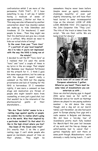confrontation whilst I am more of the persuasion, FUCK THAT…. If I have something to say, I will say it (whilst having a modicum of sense of appropriateness….) Better out than in. This song was also influenced by another conversation about how (mainly) women use make-up to hide blemishes and tiredness. If I'm knackered, I want people to know…. Then they might see that I'm shattered and give me a break (or a coffee). Why should we need to hide our actual state of being?

**Is the cover from your "Toxic Care"** 

**7" a portrait of your local hospital? Am I to take it you're not impressed with the way the NHS is being ran at the minute?**

I decided to call the EP "Toxic Care" as I realised that I'd used the words "toxic" and "care" a couple of times in my lyrics in the six songs. That simple! Hal Mundane (our Raymond Pettibone) did the artwork for it… I think I gave him some vague pointers, but he came up with the design. It wasn't really a comment on the NHS but the ongoing privatisation and lack of funding for the NHS is horrendous. If I remember rightly, it was more a comment on how drugs and medication are thrown at people who might benefit more from counselling, or even just a good chat, but that wouldn't be in the interests of the pharmaceutical giants or their shareholders…..

**"We Are Their Cattle" seems to be a ranting rage against apathy or people too zombie like to realise what's going on in the world. Was that inspired by a particular incident? Is that what it's like in the high street where you live?** 

**Has Dawn of the Dead come true?** It's exactly that. I do like a good ranting rage. I can't abide people who spend an inordinate amount of time on their phones… They might be

somewhere they've never been before (maybe never go again), somewhere stunningly beautiful, or even just slightly interesting, but still have their head buried in some inconsequential tripe on the internet. LOOK UP AND LOOK AROUND YOU! It's inspired by the John Carpenter film "They Live". The title of the track is taken from the script… "We are their cattle. We are being bred for slavery".



**You've been off on some UK and European adventures I gather. Where've you been? There must be some tales of misadventure you can entertain us with …**

Since we started playing gigs in August 2016 we've been as far north as Edinburgh and as far south as Hastings (where we played to one paying audience member – he did dance like crazy though, and a dog sat on our merch table). Last November, we also had quick jaunt to Europe playing four gigs and a radio session in Belgium and Germany. We did have a ten-day tour of Scandinavia pretty much fully booked for March/April this year but because of my work and the line-up change, we unfortunately had to cancel that – gutted. Hopefully we'll visit there at some point though. Misadventure – we're obviously a really boring bunch… I can't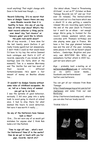recall anything! That might change with Dave in the band now though……..

### **Record Collecting. It's no secret that here at Gadgie Towers there are way more Blondie records than it is healthy to have. Are any of you big fans of little vinyl discs? What's the most record collector-y thing you've ever done? Any "lost classics" or "obscure gems" you'd like to inform the punk rock world about?**

We all buy records…. I have done for the last twenty years (before it got really trendy again!) but not obsessively. I don't think I could as that would mean I'd have to try buy the entire Damned back catalogue and that's A LOT of records, especially if you include all the bootlegs (and I'm fairly skint at the moment!) Tom is a massive Morrissey and The Smiths fan and has most of their records – different formats/presses. He's spent a fair amount of money on Beatles albums too….

### **It wouldn't be Gadgie fanzine without some tales of childhood escapades. Go on, tell us a funny story of summat you got up to as kids …**

I was the epitome of good behaviour, seriously. I did once jump into a spiky bush to avoid going to church at school once. I had to stay there for what seemed like hours to avoid detection. Not sure it was worth it really…….

### **Do any of the Natterers have famous look-a-likes?**

Erm…. I'm not sure any of us would get mistaken for anyone else! I think Rob looks a bit like Penfold.

**Time to sign off now … what's next for Natterers? New LP in the works? How do we get in touch with you for gigs, records, merch etc?**

Our debut album, "Head in Threatening Attitude", is out on 5<sup>th</sup> October on Boss Tuneage Records (on 12" and our first ever CD release). The limited-edition record sold out in a few hours which was a shock! It is also getting a cassette release! We are recording again before the end of the year (back to France!) but it won't be an album – not enough songs. We're going to Iceland for the record release weekend (which also coincides with Thomas's birthday) and also playing some gigs in France. We have a fair few gigs planned between now and the end of the year, including some places in the UK we haven't played before…. Cambridge, Brighton and your very own BOSTON!! We WILL go somewhere further afield in 2019 too… just not sure where yet!

Gigs – probably best e-mailing us at [natterersband@gmail.com](mailto:natterersband@gmail.com) or contacting us via (anti) social media….. facebook.com/natterersband and twitter.com/natterers.

You can get all our releases from Boss Tuneage:

[http://bosstuneage.bigcartel.com/artist](http://bosstuneage.bigcartel.com/artist/natterers) [/natterers](http://bosstuneage.bigcartel.com/artist/natterers) and some from our own Bandcamp

(http://natterers.bandcamp.com) where you can also find our lovely merch!

THANK YOU! X

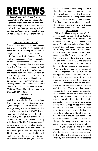## **REVIEWS**

*Records are skill. I love 'em me. Especially if they contain within their grooves raging Punk ruddy Rock and head smashingly brutal noise. Here is what I have been getting myself all excited and unnecessary about of late in the GADGIE Tower Thrash Parlour.*

### **GAME**

### **"Who Will Play?" Flexi 7"**

One of those bands that comes around every so often and every bugger and their budgie is talking about 'em. I, bought in to it, I have to say, as listening in on their Bandcamp, I was mightily impressed. Right pummelling primal, pandemonium that bore something of a resemblance to the style in which fellow London smashers Snob assault you with and I'm hooked. Order the record then. Of course. Oh hang on, it's a flipping flexi disc! Fuck's sake. A flexi disc! You know what though, this is so savage, so confrontational and brutally direct that I would even buy a bloody flexi disc. Like a sour version of GISM on 45rpm. Horrible in a good way. QUALITY CONTROL

### **KNOWPEACE "Revolt" CD**

Yonks! A brutallic hardcore punk band from the wild outpost known as King's Lynn! Knowpeace seem to exist in that strange twilight zone of hardcore that sort of appears on the GADGIE Towers radar but doesn't quite fit the bill of what usually finds favour upon the decks of death in the Thrash Parlour. I can dig this though. The Norfolk ne-er-do-wells conjure up a caustic, yet clean, metallic din that ventures in to dark territory with equal parts epic and unpleasant. It's the sort of sound that the kids with neck tattoos who love their screamo emo bands would go for yet I get the impression there's more going on here than the usual Kerrap cover star dross that I get sent from this branch of hardcore. Massive booming tunes which plunge in to blast beat type mayhem, "stadium crust" atmospherics … yeah, there's plenty going on here to intrigue the listener. GRANDAD RECORDS

### **NATTERERS "Head In Threatening Attitude" LP**

In the punk outpost that is GADGIE Towers, the day this record was delivered at the guard's house, was cause for riotous celebrations. Quite possibly my most eagerly awaited record in a long, long time. A long time. Northerners Natterers have been whipping up UK Punx (and some of our Euro brethren) in to a state of frenzy of late with their brash and abrasive 80s Punk attack and this, their debut LP, is a glorious coming of age moment. What we have here is a wonderful coming together of a number of unstoppable forces that meld in to an homage to the greats of yesteryear but injected with a fresh and very much of "the now" powerful punch in the face. First up the new rhythm section – Dave and Rob from Voorhees – lay down a furious bedrock of pounding, muscular and excitably adventurous back line. On top of this Thomas slings out the most insanely catchy East Bay Ray style surfarola riffage you have heard since Fresh Fruit … Topping off these most marvellous melodies are Emma's incendiary vocals that over the last few years have taken on a life of their own veering wildly around and bringing to mind all manner of punk luminaries of the past but very much her own at the same time. One minute there's an all out, enraged yell, while on the next song Emma switches to menacing and leering disdain. Natterers are the best we have had to offer in the UK for a while and I stick by my description of Adolescents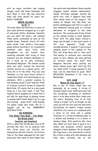with an angry northern lass singing though could add Dead Kennedys and Zero Boys to that. My new favourite band and they should be yours too. BOSS TUNEAGE

### **NERVE QUAKES "R//R" 7"**

Oh lordy! What we have here is a pair of post punk platters wrapped up in a glut of gloriously Gothic darkness. Honestly you can smell the musty, cob webbed filled castle catacombs as soon as the needle drops. "Rewind" starts off with some prime time synth-y Cure-esque gloom before bursting in to a wonderful anthemic dark disco frolic with atmosphere by the bucket load. Haunting melodies that bring to mind Siousxie and her bonkers Banshees or, for a more up to date reference, Barcelona's Belgrado. The female vocals swim and swirl around the dextrous rhythm section as a glacial guitar riff fires off in to the ether. Flip over and "Running" is a far more direct attack in comparison whilst still maintaining an icy ambience. With a greater urgency to the shadowy sound I can't help but think of Crimson Scarlet's brand of powerful Goth Punk. Of course that is a very good thing as I love that band. I feel that Aussies Nerve Quakes are a band that I will also be describing in glowing terms to anyone who'll listen when I go to a gig this evening … great stuff. Come payday I'm gonna ruddy well order the LP. I suggest you do too. IMMINENT DESTRUCTION

### **NO BORDERS "The Walls They Build … The Walls We Break Down" Cassette and Download**

With a name like No Borders and an EP entitled like that, it's no surprise that this three piece are fiercely pro immigration and anti-fascist. So livid are they at the ideas espoused by the right wing loons that seem to have taken over the world and emboldened those knuckle dragging, lowest common denominator, insular attitudes amongst morons the world over, that it appears they base their whole band on the subject. "No Human Is Illegal" and "We Rise" are pretty unambiguous and this is a case of four smashers blazing past in a furious whirlwind of stripped to the bone hardcore. The surging and driven attack on the senses brings to mind Agnostic Front with the gang shout chorus-alongs and straight to the point punch in the face approach. Tough and uncompromising, I imagine if you've been jumping about in the Lughole to The Flex and Arms Race and co then you'll find plenty to continue your cavorting about to here. Maybe you were getting all excited about the stuff that Kangaroo Records were putting out about twenty years ago? You'll dig this too. Good stuff if being punched in the face can be described as good. SELF RELEASED (Download it for free at Bandcamp)

### **RAT CAGE "Blood On Your Boots" 7"**

Bry is one of those chaps who can seemingly do no wrong. A string of blinding bands from Sheffield have had him screaming, drumming or whatever else it is he does within their ranks over the years. Breaking free of all that "being in a band" carry on though, he has come up with his very own one man band. Fortunately he doesn't trapse around Sheffield city centre on a weekend with a drum on his back and a cymbal attached to a string strumming away on a ukulele and blowing in to a kazoo or summat. Nope. That would be silly. Very silly. What our hero does is goes in to a studio and produces utterly searing mangled d-beat mayhem. All by himself. Rat Cage have a live incarnation in which Bry fronts a band with wild abandon and they were certainly one of the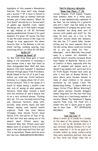highlights of this summer's Bloodstains Festival. The noise don't stop though and a second 7" EP is here to herald in the autumnal days as summer festivals become just a hazy memory. "Blood On Your Boots" whizzes by in a furious whirl of golden age Swedish crust, classic Discharge and, as if that wasn't enough, an ugly helping of UK 82 Partisans pogoing pandemonium thrown in for good measure. It's great. Of course. You have to see the band version of Rat Cage live though to truly appreciate the sheer ferocity that is the Ratman in full mic stand twirling, bandana wearing, face lacerating effect. LA VIDA ES UN MUS

#### **RUIN IT!**

### **"Locked Up Dead" LP**

So, Ben from Drop Dead gets in touch asking if I'm interested in reviewing a new release from a new fast band on their Armageddon label. Well, duh, does General Urko hate humans? A download whizzed through space from Providence, Rhode Island in the US of A and I was, before you could say, brutal hardcore, listening to a ripping album full of erm, brutal hardcore. This is the sound of a bunch of dudes having a midlife crisis and, sick of seeing as what passes as hardcore these days, formed a band with the intention of, and I believe this to be a very technical phrase, "Fucking Shit Up". It's raw, furiously hard hitting and rancorous hardcore along with, lyrically, some pretty heavy and dark themes dealing with mental health explored. Think Out Cold, Boston Strangler, Nine Shocks Terror, Dead Nation, ETA, the odd bit of Tear It Up, all that shit that was coming out of the sewers about fifteen years ago. Fuckeroo! Was that fifteen years ago? Maybe more of us need to form a brutal boot in the balls band and Fuck Shit Up? This is marvellous. Please send me more shit like this. ARMAGEDDON RECORDS

### **TRUTH EQUALS REASON "Know Your Place …?" CD**

Lincoln Fenpunx Truth Equals Treason have slimmed down to a three piece after, it was diplomatically explained to me that, "we are looking for a guitarist who isn't a twat". Jam has taken on the responsibility of slinging the guitar over his shoulder and doing some sort of sorcery with pedals and stuff for the bass. So here now, as a trio, is the "difficult" second album and wowzers, the slim line T=T sound fuller, harder hitting and far more assured than on the last outing. Glen's vocals are furious! He is, are you ready for this … Glenraged … sorry. Musically they pound away in a manner not dissimilar to another band I recently reviewed, Brum Punx Healer of Bastards. There's a bit of Conflict in there, especially with the use of samples and spoken word, or should I say spoken rant, parts but all in all Truth Equals Treason have come up with a livid look at Broken Britain. A place where we've become immune to tales of dead children in far places, mutilated by UK bombs ("And The Bombs Keep falling …"), where 1984 is no longer fiction ("Four Million Watching") and where moronic knuckle draggers blame "imigrunts" for the fact that they have failed as a functioning member of society ("Blame Thy Neighbour"). Raging anarcho Punk from the Fens! It's a winner this one is. Quite good to quote one of their fans … TET OFFENSIVE RECORDS

### **TSOL**

### **"Low Low Low" 7"**

When I drove up to Leeds on a Sunday at the dawn of the summer holidays to take in a set by Mr Grisham and co I was certainly looking forward to it but never expected it to be as good as it actually ended up being. Lorks-a-lordy they were absolutely glorious. Jack was on fine form and larger than life in